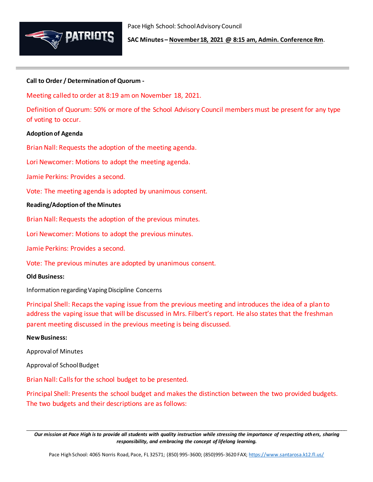

**SAC Minutes – November 18, 2021 @ 8:15 am, Admin. Conference Rm**.

# **Call to Order / Determination of Quorum -**

Meeting called to order at 8:19 am on November 18, 2021.

Definition of Quorum: 50% or more of the School Advisory Council members must be present for any type of voting to occur.

## **Adoption of Agenda**

Brian Nall: Requests the adoption of the meeting agenda.

Lori Newcomer: Motions to adopt the meeting agenda.

Jamie Perkins: Provides a second.

Vote: The meeting agenda is adopted by unanimous consent.

## **Reading/Adoption of the Minutes**

Brian Nall: Requests the adoption of the previous minutes.

Lori Newcomer: Motions to adopt the previous minutes.

Jamie Perkins: Provides a second.

Vote: The previous minutes are adopted by unanimous consent.

## **Old Business:**

Information regarding Vaping Discipline Concerns

Principal Shell: Recaps the vaping issue from the previous meeting and introduces the idea of a plan to address the vaping issue that will be discussed in Mrs. Filbert's report. He also states that the freshman parent meeting discussed in the previous meeting is being discussed.

# **New Business:**

Approval of Minutes

Approval of School Budget

Brian Nall: Calls for the school budget to be presented.

Principal Shell: Presents the school budget and makes the distinction between the two provided budgets. The two budgets and their descriptions are as follows:

\_\_\_\_\_\_\_\_\_\_\_\_\_\_\_\_\_\_\_\_\_\_\_\_\_\_\_\_\_\_\_\_\_\_\_\_\_\_\_\_\_\_\_\_\_\_\_\_\_\_\_\_\_\_\_\_\_\_\_\_\_\_\_\_\_\_\_\_\_\_\_\_\_\_\_\_\_\_\_\_\_\_\_\_\_\_\_\_\_\_\_\_\_\_\_\_\_\_\_\_\_\_\_\_\_ *Our mission at Pace High is to provide all students with quality instruction while stressing the importance of respecting others, sharing responsibility, and embracing the concept of lifelong learning.*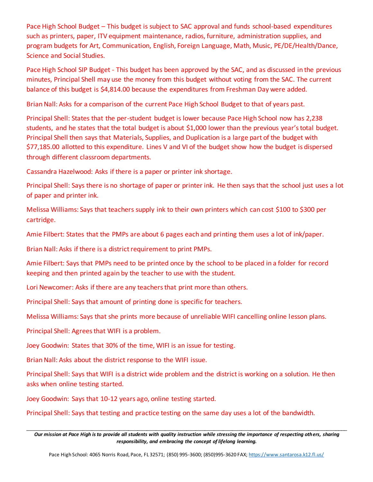Pace High School Budget – This budget is subject to SAC approval and funds school-based expenditures such as printers, paper, ITV equipment maintenance, radios, furniture, administration supplies, and program budgets for Art, Communication, English, Foreign Language, Math, Music, PE/DE/Health/Dance, Science and Social Studies.

Pace High School SIP Budget - This budget has been approved by the SAC, and as discussed in the previous minutes, Principal Shell may use the money from this budget without voting from the SAC. The current balance of this budget is \$4,814.00 because the expenditures from Freshman Day were added.

Brian Nall: Asks for a comparison of the current Pace High School Budget to that of years past.

Principal Shell: States that the per-student budget is lower because Pace High School now has 2,238 students, and he states that the total budget is about \$1,000 lower than the previous year's total budget. Principal Shell then says that Materials, Supplies, and Duplication is a large part of the budget with \$77,185.00 allotted to this expenditure. Lines V and VI of the budget show how the budget is dispersed through different classroom departments.

Cassandra Hazelwood: Asks if there is a paper or printer ink shortage.

Principal Shell: Says there is no shortage of paper or printer ink. He then says that the school just uses a lot of paper and printer ink.

Melissa Williams: Says that teachers supply ink to their own printers which can cost \$100 to \$300 per cartridge.

Amie Filbert: States that the PMPs are about 6 pages each and printing them uses a lot of ink/paper.

Brian Nall: Asks if there is a district requirement to print PMPs.

Amie Filbert: Says that PMPs need to be printed once by the school to be placed in a folder for record keeping and then printed again by the teacher to use with the student.

Lori Newcomer: Asks if there are any teachers that print more than others.

Principal Shell: Says that amount of printing done is specific for teachers.

Melissa Williams: Says that she prints more because of unreliable WIFI cancelling online lesson plans.

Principal Shell: Agrees that WIFI is a problem.

Joey Goodwin: States that 30% of the time, WIFI is an issue for testing.

Brian Nall: Asks about the district response to the WIFI issue.

Principal Shell: Says that WIFI is a district wide problem and the district is working on a solution. He then asks when online testing started.

Joey Goodwin: Says that 10-12 years ago, online testing started.

Principal Shell: Says that testing and practice testing on the same day uses a lot of the bandwidth.

\_\_\_\_\_\_\_\_\_\_\_\_\_\_\_\_\_\_\_\_\_\_\_\_\_\_\_\_\_\_\_\_\_\_\_\_\_\_\_\_\_\_\_\_\_\_\_\_\_\_\_\_\_\_\_\_\_\_\_\_\_\_\_\_\_\_\_\_\_\_\_\_\_\_\_\_\_\_\_\_\_\_\_\_\_\_\_\_\_\_\_\_\_\_\_\_\_\_\_\_\_\_\_\_\_ *Our mission at Pace High is to provide all students with quality instruction while stressing the importance of respecting others, sharing responsibility, and embracing the concept of lifelong learning.*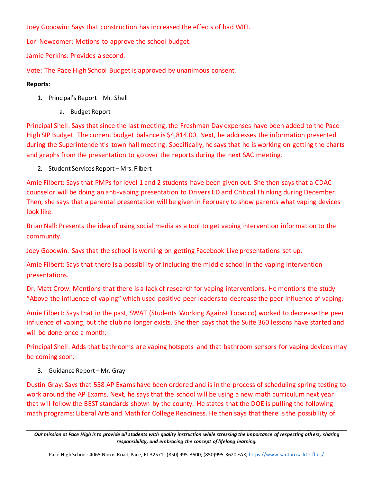Joey Goodwin: Says that construction has increased the effects of bad WIFI.

Lori Newcomer: Motions to approve the school budget.

Jamie Perkins: Provides a second.

Vote: The Pace High School Budget is approved by unanimous consent.

# **Reports**:

- 1. Principal's Report Mr. Shell
	- a. Budget Report

Principal Shell: Says that since the last meeting, the Freshman Day expenses have been added to the Pace High SIP Budget. The current budget balance is \$4,814.00. Next, he addresses the information presented during the Superintendent's town hall meeting. Specifically, he says that he is working on getting the charts and graphs from the presentation to go over the reports during the next SAC meeting.

2. Student Services Report – Mrs. Filbert

Amie Filbert: Says that PMPs for level 1 and 2 students have been given out. She then says that a CDAC counselor will be doing an anti-vaping presentation to Drivers ED and Critical Thinking during December. Then, she says that a parental presentation will be given in February to show parents what vaping devices look like.

Brian Nall: Presents the idea of using social media as a tool to get vaping intervention information to the community.

Joey Goodwin: Says that the school is working on getting Facebook Live presentations set up.

Amie Filbert: Says that there is a possibility of including the middle school in the vaping intervention presentations.

Dr. Matt Crow: Mentions that there is a lack of research for vaping interventions. He mentions the study "Above the influence of vaping" which used positive peer leaders to decrease the peer influence of vaping.

Amie Filbert: Says that in the past, SWAT (Students Working Against Tobacco) worked to decrease the peer influence of vaping, but the club no longer exists. She then says that the Suite 360 lessons have started and will be done once a month.

Principal Shell: Adds that bathrooms are vaping hotspots and that bathroom sensors for vaping devices may be coming soon.

3. Guidance Report – Mr. Gray

Dustin Gray: Says that 558 AP Exams have been ordered and is in the process of scheduling spring testing to work around the AP Exams. Next, he says that the school will be using a new math curriculum next year that will follow the BEST standards shown by the county. He states that the DOE is pulling the following math programs: Liberal Arts and Math for College Readiness. He then says that there is the possibility of

\_\_\_\_\_\_\_\_\_\_\_\_\_\_\_\_\_\_\_\_\_\_\_\_\_\_\_\_\_\_\_\_\_\_\_\_\_\_\_\_\_\_\_\_\_\_\_\_\_\_\_\_\_\_\_\_\_\_\_\_\_\_\_\_\_\_\_\_\_\_\_\_\_\_\_\_\_\_\_\_\_\_\_\_\_\_\_\_\_\_\_\_\_\_\_\_\_\_\_\_\_\_\_\_\_ *Our mission at Pace High is to provide all students with quality instruction while stressing the importance of respecting others, sharing responsibility, and embracing the concept of lifelong learning.*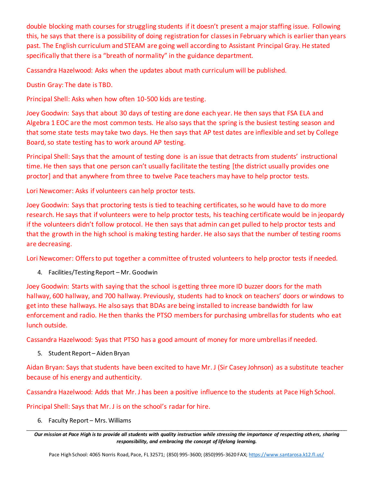double blocking math courses for struggling students if it doesn't present a major staffing issue. Following this, he says that there is a possibility of doing registration for classes in February which is earlier than years past. The English curriculum and STEAM are going well according to Assistant Principal Gray. He stated specifically that there is a "breath of normality" in the guidance department.

Cassandra Hazelwood: Asks when the updates about math curriculum will be published.

Dustin Gray: The date is TBD.

Principal Shell: Asks when how often 10-500 kids are testing.

Joey Goodwin: Says that about 30 days of testing are done each year. He then says that FSA ELA and Algebra 1 EOC are the most common tests. He also says that the spring is the busiest testing season and that some state tests may take two days. He then says that AP test dates are inflexible and set by College Board, so state testing has to work around AP testing.

Principal Shell: Says that the amount of testing done is an issue that detracts from students' instructional time. He then says that one person can't usually facilitate the testing [the district usually provides one proctor] and that anywhere from three to twelve Pace teachers may have to help proctor tests.

Lori Newcomer: Asks if volunteers can help proctor tests.

Joey Goodwin: Says that proctoring tests is tied to teaching certificates, so he would have to do more research. He says that if volunteers were to help proctor tests, his teaching certificate would be in jeopardy if the volunteers didn't follow protocol. He then says that admin can get pulled to help proctor tests and that the growth in the high school is making testing harder. He also says that the number of testing rooms are decreasing.

Lori Newcomer: Offers to put together a committee of trusted volunteers to help proctor tests if needed.

4. Facilities/Testing Report – Mr. Goodwin

Joey Goodwin: Starts with saying that the school is getting three more ID buzzer doors for the math hallway, 600 hallway, and 700 hallway. Previously, students had to knock on teachers' doors or windows to get into these hallways. He also says that BDAs are being installed to increase bandwidth for law enforcement and radio. He then thanks the PTSO members for purchasing umbrellas for students who eat lunch outside.

Cassandra Hazelwood: Syas that PTSO has a good amount of money for more umbrellas if needed.

5. Student Report – Aiden Bryan

Aidan Bryan: Says that students have been excited to have Mr. J (Sir Casey Johnson) as a substitute teacher because of his energy and authenticity.

Cassandra Hazelwood: Adds that Mr. J has been a positive influence to the students at Pace High School.

Principal Shell: Says that Mr. J is on the school's radar for hire.

6. Faculty Report – Mrs. Williams

\_\_\_\_\_\_\_\_\_\_\_\_\_\_\_\_\_\_\_\_\_\_\_\_\_\_\_\_\_\_\_\_\_\_\_\_\_\_\_\_\_\_\_\_\_\_\_\_\_\_\_\_\_\_\_\_\_\_\_\_\_\_\_\_\_\_\_\_\_\_\_\_\_\_\_\_\_\_\_\_\_\_\_\_\_\_\_\_\_\_\_\_\_\_\_\_\_\_\_\_\_\_\_\_\_ *Our mission at Pace High is to provide all students with quality instruction while stressing the importance of respecting others, sharing responsibility, and embracing the concept of lifelong learning.*